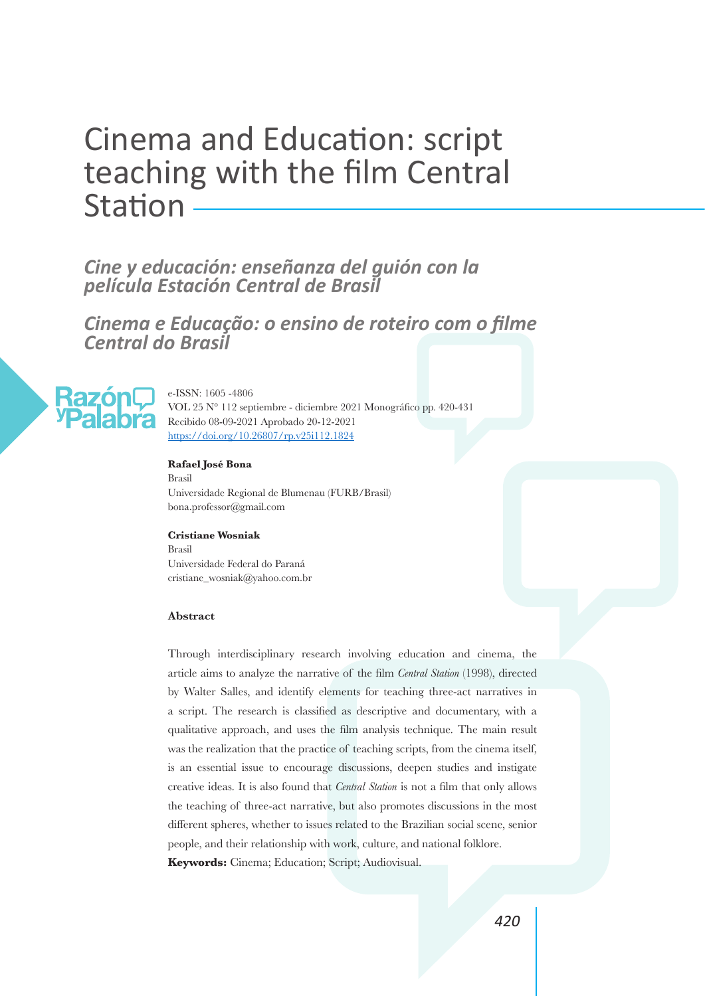# Cinema and Education: script teaching with the film Central Station

# *Cine y educación: enseñanza del guión con la película Estación Central de Brasil*

*Cinema e Educação: o ensino de roteiro com o filme Central do Brasil*



e-ISSN: 1605 -4806 VOL 25 N° 112 septiembre - diciembre 2021 Monográfico pp. 420-431 Recibido 08-09-2021 Aprobado 20-12-2021 https://doi.org/10.26807/rp.v25i112.1824

#### **Rafael José Bona**

Brasil Universidade Regional de Blumenau (FURB/Brasil) bona.professor@gmail.com

#### **Cristiane Wosniak**

Brasil Universidade Federal do Paraná cristiane\_wosniak@yahoo.com.br

#### **Abstract**

Through interdisciplinary research involving education and cinema, the article aims to analyze the narrative of the film *Central Station* (1998), directed by Walter Salles, and identify elements for teaching three-act narratives in a script. The research is classified as descriptive and documentary, with a qualitative approach, and uses the film analysis technique. The main result was the realization that the practice of teaching scripts, from the cinema itself, is an essential issue to encourage discussions, deepen studies and instigate creative ideas. It is also found that *Central Station* is not a film that only allows the teaching of three-act narrative, but also promotes discussions in the most different spheres, whether to issues related to the Brazilian social scene, senior people, and their relationship with work, culture, and national folklore. **Keywords:** Cinema; Education; Script; Audiovisual.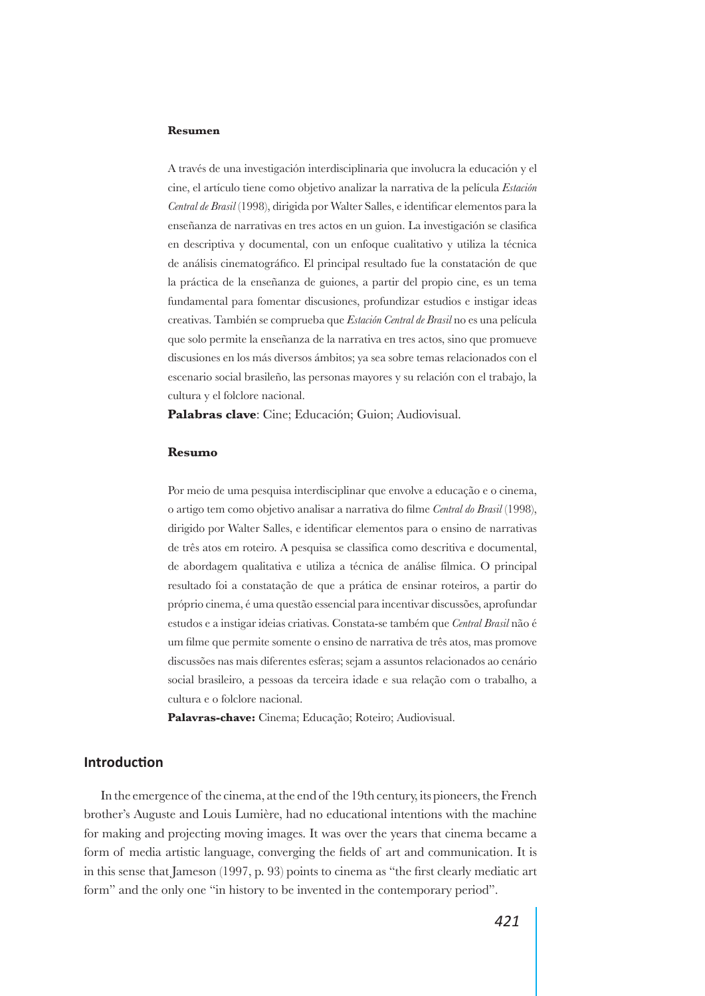#### **Resumen**

A través de una investigación interdisciplinaria que involucra la educación y el cine, el artículo tiene como objetivo analizar la narrativa de la película *Estación Central de Brasil* (1998), dirigida por Walter Salles, e identificar elementos para la enseñanza de narrativas en tres actos en un guion. La investigación se clasifica en descriptiva y documental, con un enfoque cualitativo y utiliza la técnica de análisis cinematográfico. El principal resultado fue la constatación de que la práctica de la enseñanza de guiones, a partir del propio cine, es un tema fundamental para fomentar discusiones, profundizar estudios e instigar ideas creativas. También se comprueba que *Estación Central de Brasil* no es una película que solo permite la enseñanza de la narrativa en tres actos, sino que promueve discusiones en los más diversos ámbitos; ya sea sobre temas relacionados con el escenario social brasileño, las personas mayores y su relación con el trabajo, la cultura y el folclore nacional.

**Palabras clave**: Cine; Educación; Guion; Audiovisual.

#### **Resumo**

Por meio de uma pesquisa interdisciplinar que envolve a educação e o cinema, o artigo tem como objetivo analisar a narrativa do filme *Central do Brasil* (1998), dirigido por Walter Salles, e identificar elementos para o ensino de narrativas de três atos em roteiro. A pesquisa se classifica como descritiva e documental, de abordagem qualitativa e utiliza a técnica de análise fílmica. O principal resultado foi a constatação de que a prática de ensinar roteiros, a partir do próprio cinema, é uma questão essencial para incentivar discussões, aprofundar estudos e a instigar ideias criativas. Constata-se também que *Central Brasil* não é um filme que permite somente o ensino de narrativa de três atos, mas promove discussões nas mais diferentes esferas; sejam a assuntos relacionados ao cenário social brasileiro, a pessoas da terceira idade e sua relação com o trabalho, a cultura e o folclore nacional.

**Palavras-chave:** Cinema; Educação; Roteiro; Audiovisual.

#### **Introduction**

In the emergence of the cinema, at the end of the 19th century, its pioneers, the French brother's Auguste and Louis Lumière, had no educational intentions with the machine for making and projecting moving images. It was over the years that cinema became a form of media artistic language, converging the fields of art and communication. It is in this sense that Jameson (1997, p. 93) points to cinema as "the first clearly mediatic art form" and the only one "in history to be invented in the contemporary period".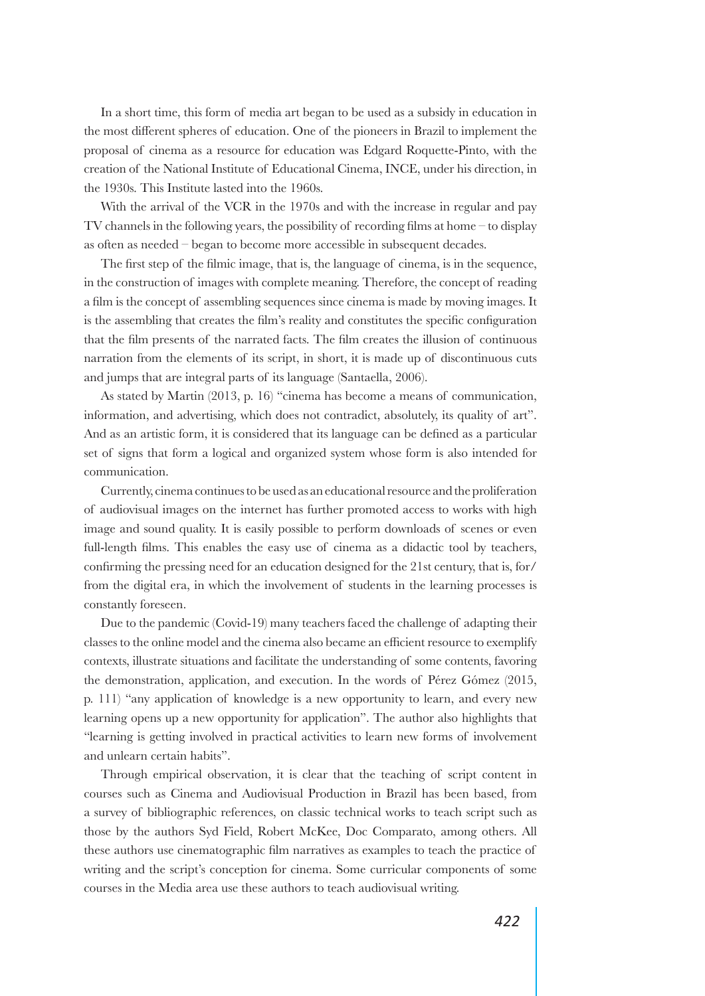In a short time, this form of media art began to be used as a subsidy in education in the most different spheres of education. One of the pioneers in Brazil to implement the proposal of cinema as a resource for education was Edgard Roquette-Pinto, with the creation of the National Institute of Educational Cinema, INCE, under his direction, in the 1930s. This Institute lasted into the 1960s.

With the arrival of the VCR in the 1970s and with the increase in regular and pay TV channels in the following years, the possibility of recording films at home – to display as often as needed – began to become more accessible in subsequent decades.

The first step of the filmic image, that is, the language of cinema, is in the sequence, in the construction of images with complete meaning. Therefore, the concept of reading a film is the concept of assembling sequences since cinema is made by moving images. It is the assembling that creates the film's reality and constitutes the specific configuration that the film presents of the narrated facts. The film creates the illusion of continuous narration from the elements of its script, in short, it is made up of discontinuous cuts and jumps that are integral parts of its language (Santaella, 2006).

As stated by Martin (2013, p. 16) "cinema has become a means of communication, information, and advertising, which does not contradict, absolutely, its quality of art". And as an artistic form, it is considered that its language can be defined as a particular set of signs that form a logical and organized system whose form is also intended for communication.

Currently, cinema continues to be used as an educational resource and the proliferation of audiovisual images on the internet has further promoted access to works with high image and sound quality. It is easily possible to perform downloads of scenes or even full-length films. This enables the easy use of cinema as a didactic tool by teachers, confirming the pressing need for an education designed for the 21st century, that is, for/ from the digital era, in which the involvement of students in the learning processes is constantly foreseen.

Due to the pandemic (Covid-19) many teachers faced the challenge of adapting their classes to the online model and the cinema also became an efficient resource to exemplify contexts, illustrate situations and facilitate the understanding of some contents, favoring the demonstration, application, and execution. In the words of Pérez Gómez (2015, p. 111) "any application of knowledge is a new opportunity to learn, and every new learning opens up a new opportunity for application". The author also highlights that "learning is getting involved in practical activities to learn new forms of involvement and unlearn certain habits".

Through empirical observation, it is clear that the teaching of script content in courses such as Cinema and Audiovisual Production in Brazil has been based, from a survey of bibliographic references, on classic technical works to teach script such as those by the authors Syd Field, Robert McKee, Doc Comparato, among others. All these authors use cinematographic film narratives as examples to teach the practice of writing and the script's conception for cinema. Some curricular components of some courses in the Media area use these authors to teach audiovisual writing.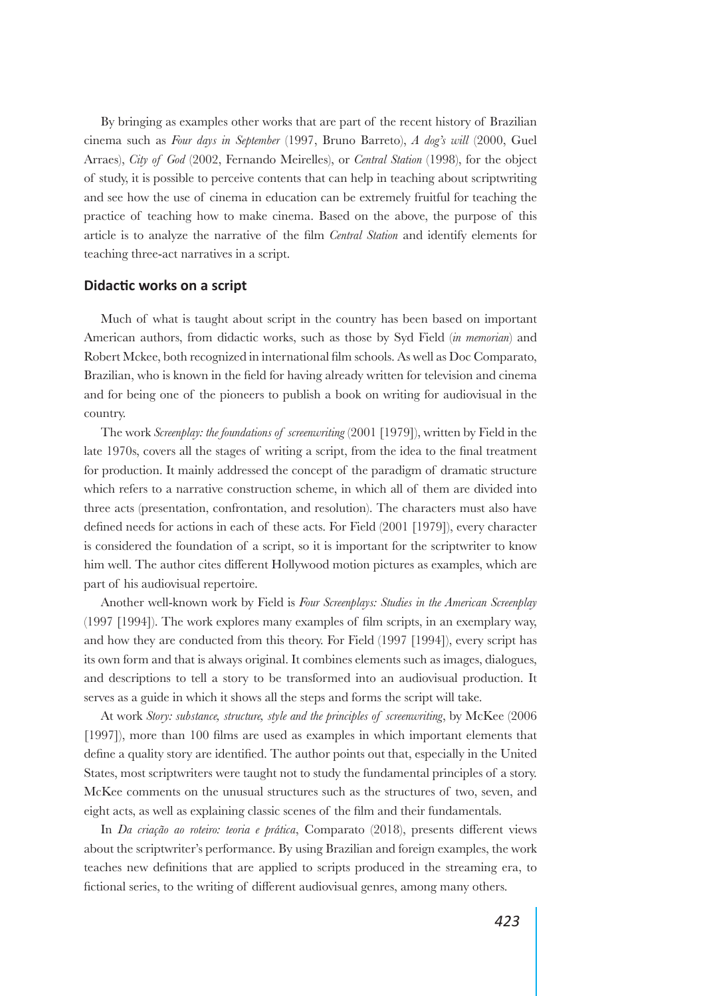By bringing as examples other works that are part of the recent history of Brazilian cinema such as *Four days in September* (1997, Bruno Barreto), *A dog's will* (2000, Guel Arraes), *City of God* (2002, Fernando Meirelles), or *Central Station* (1998), for the object of study, it is possible to perceive contents that can help in teaching about scriptwriting and see how the use of cinema in education can be extremely fruitful for teaching the practice of teaching how to make cinema. Based on the above, the purpose of this article is to analyze the narrative of the film *Central Station* and identify elements for teaching three-act narratives in a script.

#### **Didactic works on a script**

Much of what is taught about script in the country has been based on important American authors, from didactic works, such as those by Syd Field (*in memorian*) and Robert Mckee, both recognized in international film schools. As well as Doc Comparato, Brazilian, who is known in the field for having already written for television and cinema and for being one of the pioneers to publish a book on writing for audiovisual in the country.

The work *Screenplay: the foundations of screenwriting* (2001 [1979]), written by Field in the late 1970s, covers all the stages of writing a script, from the idea to the final treatment for production. It mainly addressed the concept of the paradigm of dramatic structure which refers to a narrative construction scheme, in which all of them are divided into three acts (presentation, confrontation, and resolution). The characters must also have defined needs for actions in each of these acts. For Field (2001 [1979]), every character is considered the foundation of a script, so it is important for the scriptwriter to know him well. The author cites different Hollywood motion pictures as examples, which are part of his audiovisual repertoire.

Another well-known work by Field is *Four Screenplays: Studies in the American Screenplay* (1997 [1994]). The work explores many examples of film scripts, in an exemplary way, and how they are conducted from this theory. For Field (1997 [1994]), every script has its own form and that is always original. It combines elements such as images, dialogues, and descriptions to tell a story to be transformed into an audiovisual production. It serves as a guide in which it shows all the steps and forms the script will take.

At work *Story: substance, structure, style and the principles of screenwriting*, by McKee (2006 [1997]), more than 100 films are used as examples in which important elements that define a quality story are identified. The author points out that, especially in the United States, most scriptwriters were taught not to study the fundamental principles of a story. McKee comments on the unusual structures such as the structures of two, seven, and eight acts, as well as explaining classic scenes of the film and their fundamentals.

In *Da criação ao roteiro: teoria e prática*, Comparato (2018), presents different views about the scriptwriter's performance. By using Brazilian and foreign examples, the work teaches new definitions that are applied to scripts produced in the streaming era, to fictional series, to the writing of different audiovisual genres, among many others.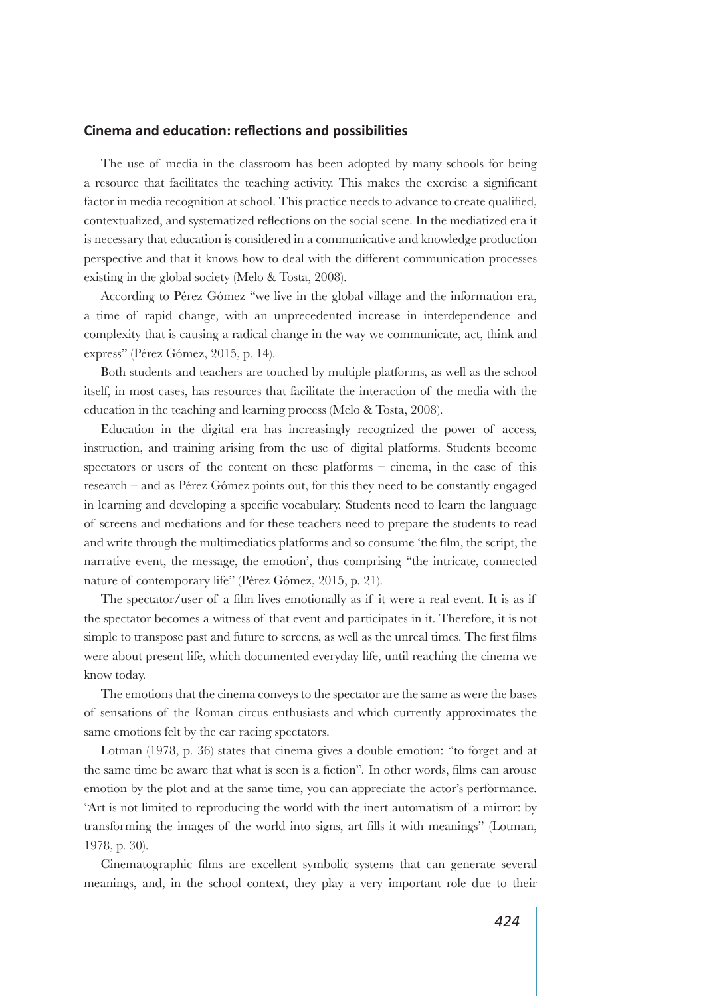### **Cinema and education: reflections and possibilities**

The use of media in the classroom has been adopted by many schools for being a resource that facilitates the teaching activity. This makes the exercise a significant factor in media recognition at school. This practice needs to advance to create qualified, contextualized, and systematized reflections on the social scene. In the mediatized era it is necessary that education is considered in a communicative and knowledge production perspective and that it knows how to deal with the different communication processes existing in the global society (Melo & Tosta, 2008).

According to Pérez Gómez "we live in the global village and the information era, a time of rapid change, with an unprecedented increase in interdependence and complexity that is causing a radical change in the way we communicate, act, think and express" (Pérez Gómez, 2015, p. 14).

Both students and teachers are touched by multiple platforms, as well as the school itself, in most cases, has resources that facilitate the interaction of the media with the education in the teaching and learning process (Melo & Tosta, 2008).

Education in the digital era has increasingly recognized the power of access, instruction, and training arising from the use of digital platforms. Students become spectators or users of the content on these platforms – cinema, in the case of this research – and as Pérez Gómez points out, for this they need to be constantly engaged in learning and developing a specific vocabulary. Students need to learn the language of screens and mediations and for these teachers need to prepare the students to read and write through the multimediatics platforms and so consume 'the film, the script, the narrative event, the message, the emotion', thus comprising "the intricate, connected nature of contemporary life" (Pérez Gómez, 2015, p. 21).

The spectator/user of a film lives emotionally as if it were a real event. It is as if the spectator becomes a witness of that event and participates in it. Therefore, it is not simple to transpose past and future to screens, as well as the unreal times. The first films were about present life, which documented everyday life, until reaching the cinema we know today.

The emotions that the cinema conveys to the spectator are the same as were the bases of sensations of the Roman circus enthusiasts and which currently approximates the same emotions felt by the car racing spectators.

Lotman (1978, p. 36) states that cinema gives a double emotion: "to forget and at the same time be aware that what is seen is a fiction"*.* In other words, films can arouse emotion by the plot and at the same time, you can appreciate the actor's performance. "Art is not limited to reproducing the world with the inert automatism of a mirror: by transforming the images of the world into signs, art fills it with meanings" (Lotman, 1978, p. 30).

Cinematographic films are excellent symbolic systems that can generate several meanings, and, in the school context, they play a very important role due to their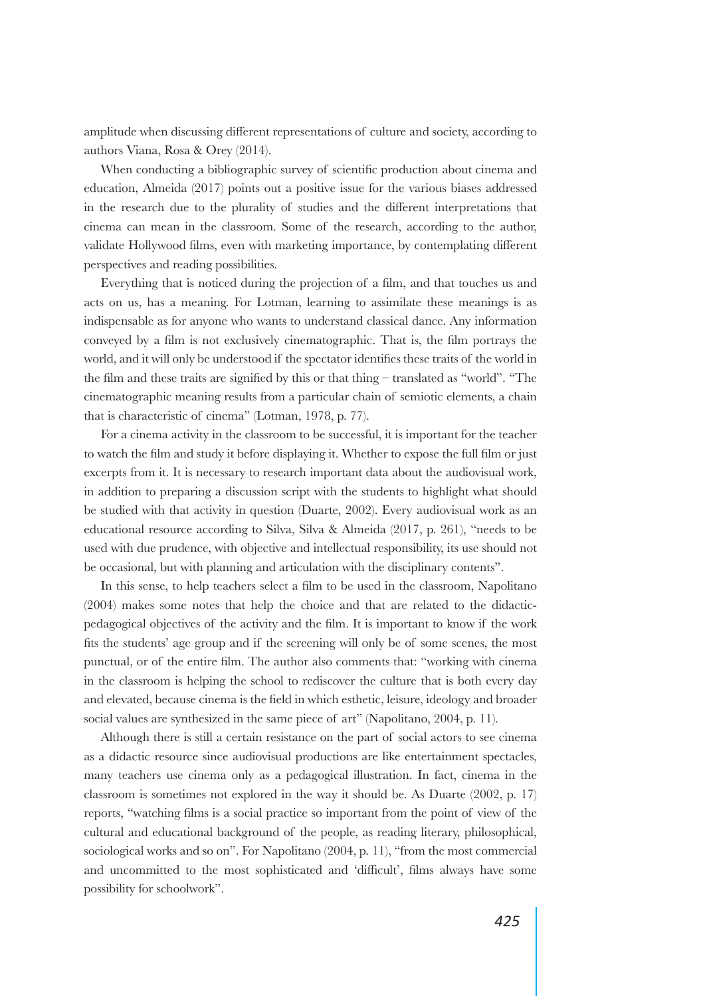amplitude when discussing different representations of culture and society, according to authors Viana, Rosa & Orey (2014).

When conducting a bibliographic survey of scientific production about cinema and education, Almeida (2017) points out a positive issue for the various biases addressed in the research due to the plurality of studies and the different interpretations that cinema can mean in the classroom. Some of the research, according to the author, validate Hollywood films, even with marketing importance, by contemplating different perspectives and reading possibilities.

Everything that is noticed during the projection of a film, and that touches us and acts on us, has a meaning. For Lotman, learning to assimilate these meanings is as indispensable as for anyone who wants to understand classical dance. Any information conveyed by a film is not exclusively cinematographic. That is, the film portrays the world, and it will only be understood if the spectator identifies these traits of the world in the film and these traits are signified by this or that thing – translated as "world". "The cinematographic meaning results from a particular chain of semiotic elements, a chain that is characteristic of cinema" (Lotman, 1978, p. 77).

For a cinema activity in the classroom to be successful, it is important for the teacher to watch the film and study it before displaying it. Whether to expose the full film or just excerpts from it. It is necessary to research important data about the audiovisual work, in addition to preparing a discussion script with the students to highlight what should be studied with that activity in question (Duarte, 2002). Every audiovisual work as an educational resource according to Silva, Silva & Almeida (2017, p. 261), "needs to be used with due prudence, with objective and intellectual responsibility, its use should not be occasional, but with planning and articulation with the disciplinary contents".

In this sense, to help teachers select a film to be used in the classroom, Napolitano (2004) makes some notes that help the choice and that are related to the didacticpedagogical objectives of the activity and the film. It is important to know if the work fits the students' age group and if the screening will only be of some scenes, the most punctual, or of the entire film. The author also comments that: "working with cinema in the classroom is helping the school to rediscover the culture that is both every day and elevated, because cinema is the field in which esthetic, leisure, ideology and broader social values are synthesized in the same piece of art" (Napolitano, 2004, p. 11).

Although there is still a certain resistance on the part of social actors to see cinema as a didactic resource since audiovisual productions are like entertainment spectacles, many teachers use cinema only as a pedagogical illustration. In fact, cinema in the classroom is sometimes not explored in the way it should be. As Duarte (2002, p. 17) reports, "watching films is a social practice so important from the point of view of the cultural and educational background of the people, as reading literary, philosophical, sociological works and so on". For Napolitano (2004, p. 11), "from the most commercial and uncommitted to the most sophisticated and 'difficult', films always have some possibility for schoolwork".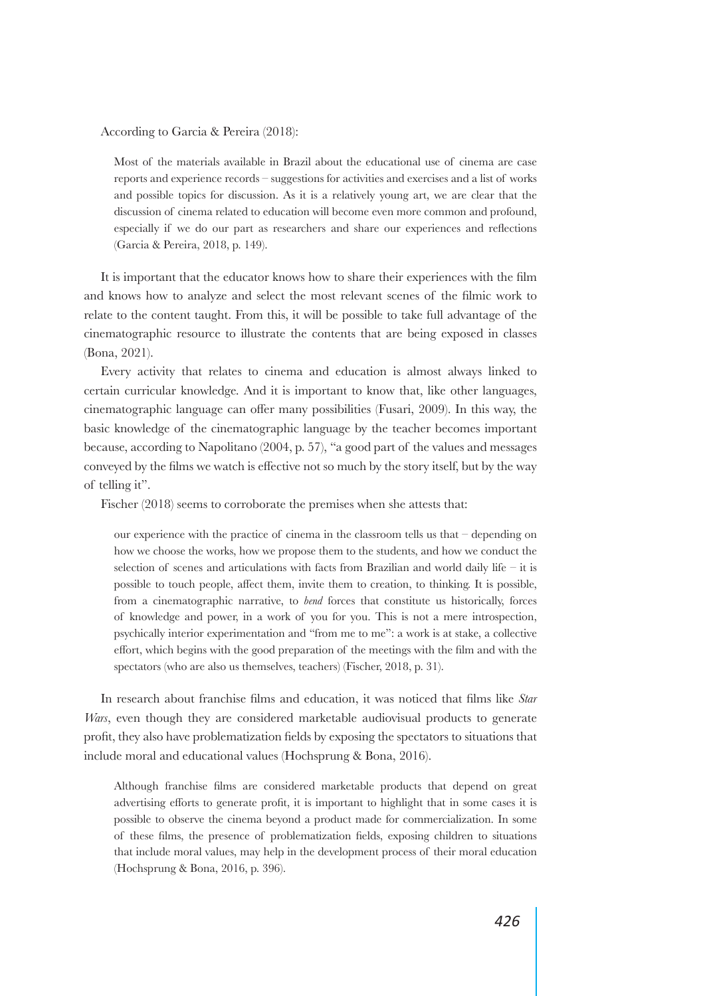According to Garcia & Pereira (2018):

Most of the materials available in Brazil about the educational use of cinema are case reports and experience records – suggestions for activities and exercises and a list of works and possible topics for discussion. As it is a relatively young art, we are clear that the discussion of cinema related to education will become even more common and profound, especially if we do our part as researchers and share our experiences and reflections (Garcia & Pereira, 2018, p. 149).

It is important that the educator knows how to share their experiences with the film and knows how to analyze and select the most relevant scenes of the filmic work to relate to the content taught. From this, it will be possible to take full advantage of the cinematographic resource to illustrate the contents that are being exposed in classes (Bona, 2021).

Every activity that relates to cinema and education is almost always linked to certain curricular knowledge. And it is important to know that, like other languages, cinematographic language can offer many possibilities (Fusari, 2009). In this way, the basic knowledge of the cinematographic language by the teacher becomes important because, according to Napolitano (2004, p. 57), "a good part of the values and messages conveyed by the films we watch is effective not so much by the story itself, but by the way of telling it".

Fischer (2018) seems to corroborate the premises when she attests that:

our experience with the practice of cinema in the classroom tells us that  $-$  depending on how we choose the works, how we propose them to the students, and how we conduct the selection of scenes and articulations with facts from Brazilian and world daily life – it is possible to touch people, affect them, invite them to creation, to thinking. It is possible, from a cinematographic narrative, to *bend* forces that constitute us historically, forces of knowledge and power, in a work of you for you. This is not a mere introspection, psychically interior experimentation and "from me to me": a work is at stake, a collective effort, which begins with the good preparation of the meetings with the film and with the spectators (who are also us themselves, teachers) (Fischer, 2018, p. 31).

In research about franchise films and education, it was noticed that films like *Star Wars*, even though they are considered marketable audiovisual products to generate profit, they also have problematization fields by exposing the spectators to situations that include moral and educational values (Hochsprung & Bona, 2016).

Although franchise films are considered marketable products that depend on great advertising efforts to generate profit, it is important to highlight that in some cases it is possible to observe the cinema beyond a product made for commercialization. In some of these films, the presence of problematization fields, exposing children to situations that include moral values, may help in the development process of their moral education (Hochsprung & Bona, 2016, p. 396).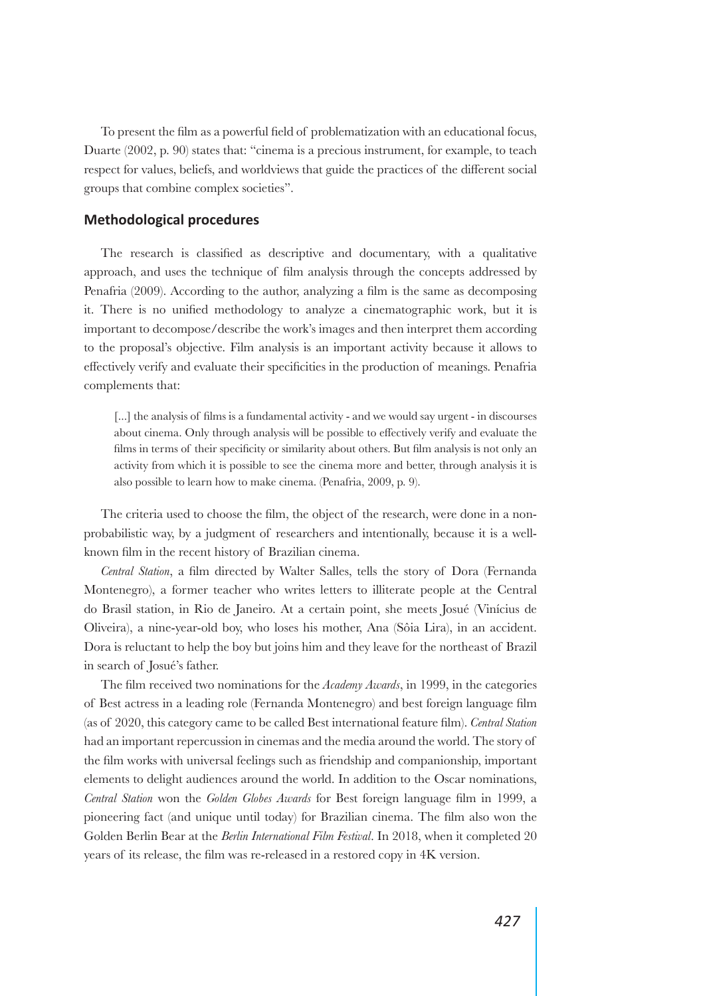To present the film as a powerful field of problematization with an educational focus, Duarte (2002, p. 90) states that: "cinema is a precious instrument, for example, to teach respect for values, beliefs, and worldviews that guide the practices of the different social groups that combine complex societies".

## **Methodological procedures**

The research is classified as descriptive and documentary, with a qualitative approach, and uses the technique of film analysis through the concepts addressed by Penafria (2009). According to the author, analyzing a film is the same as decomposing it. There is no unified methodology to analyze a cinematographic work, but it is important to decompose/describe the work's images and then interpret them according to the proposal's objective. Film analysis is an important activity because it allows to effectively verify and evaluate their specificities in the production of meanings. Penafria complements that:

[...] the analysis of films is a fundamental activity - and we would say urgent - in discourses about cinema. Only through analysis will be possible to effectively verify and evaluate the films in terms of their specificity or similarity about others. But film analysis is not only an activity from which it is possible to see the cinema more and better, through analysis it is also possible to learn how to make cinema. (Penafria, 2009, p. 9).

The criteria used to choose the film, the object of the research, were done in a nonprobabilistic way, by a judgment of researchers and intentionally, because it is a wellknown film in the recent history of Brazilian cinema.

*Central Station*, a film directed by Walter Salles, tells the story of Dora (Fernanda Montenegro), a former teacher who writes letters to illiterate people at the Central do Brasil station, in Rio de Janeiro. At a certain point, she meets Josué (Vinícius de Oliveira), a nine-year-old boy, who loses his mother, Ana (Sôia Lira), in an accident. Dora is reluctant to help the boy but joins him and they leave for the northeast of Brazil in search of Josué's father.

The film received two nominations for the *Academy Awards*, in 1999, in the categories of Best actress in a leading role (Fernanda Montenegro) and best foreign language film (as of 2020, this category came to be called Best international feature film). *Central Station* had an important repercussion in cinemas and the media around the world. The story of the film works with universal feelings such as friendship and companionship, important elements to delight audiences around the world. In addition to the Oscar nominations, *Central Station* won the *Golden Globes Awards* for Best foreign language film in 1999, a pioneering fact (and unique until today) for Brazilian cinema. The film also won the Golden Berlin Bear at the *Berlin International Film Festival*. In 2018, when it completed 20 years of its release, the film was re-released in a restored copy in 4K version.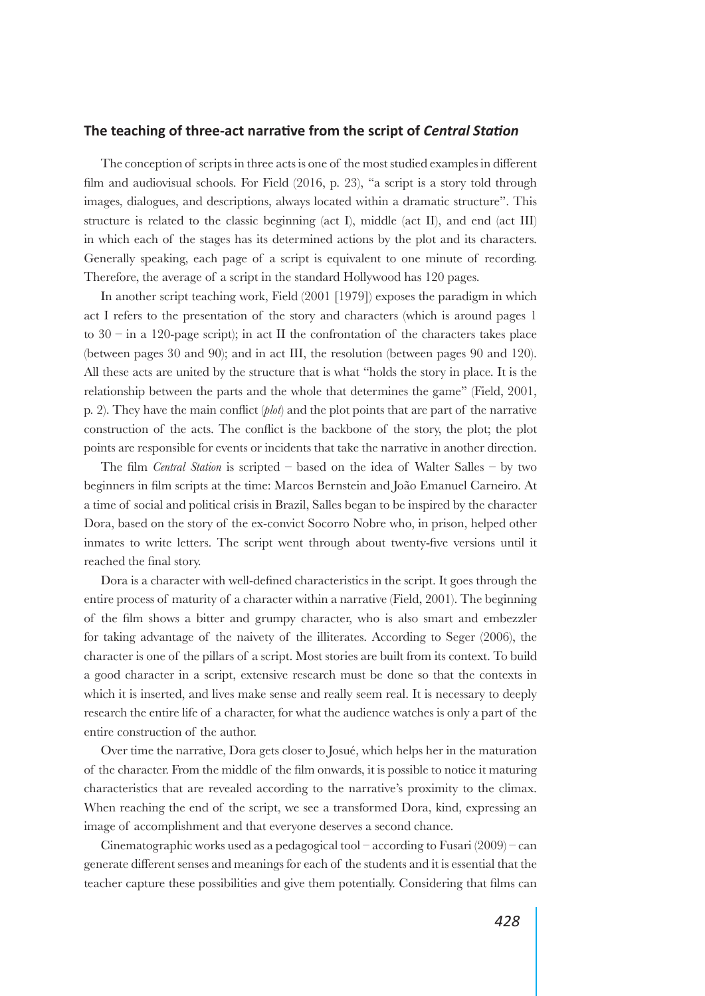### **The teaching of three-act narrative from the script of** *Central Station*

The conception of scripts in three acts is one of the most studied examples in different film and audiovisual schools. For Field (2016, p. 23), "a script is a story told through images, dialogues, and descriptions, always located within a dramatic structure". This structure is related to the classic beginning (act I), middle (act II), and end (act III) in which each of the stages has its determined actions by the plot and its characters. Generally speaking, each page of a script is equivalent to one minute of recording. Therefore, the average of a script in the standard Hollywood has 120 pages.

In another script teaching work, Field (2001 [1979]) exposes the paradigm in which act I refers to the presentation of the story and characters (which is around pages 1 to  $30 - in a 120$ -page script); in act II the confrontation of the characters takes place (between pages 30 and 90); and in act III, the resolution (between pages 90 and 120). All these acts are united by the structure that is what "holds the story in place. It is the relationship between the parts and the whole that determines the game" (Field, 2001, p. 2). They have the main conflict (*plot*) and the plot points that are part of the narrative construction of the acts. The conflict is the backbone of the story, the plot; the plot points are responsible for events or incidents that take the narrative in another direction.

The film *Central Station* is scripted – based on the idea of Walter Salles – by two beginners in film scripts at the time: Marcos Bernstein and João Emanuel Carneiro. At a time of social and political crisis in Brazil, Salles began to be inspired by the character Dora, based on the story of the ex-convict Socorro Nobre who, in prison, helped other inmates to write letters. The script went through about twenty-five versions until it reached the final story.

Dora is a character with well-defined characteristics in the script. It goes through the entire process of maturity of a character within a narrative (Field, 2001). The beginning of the film shows a bitter and grumpy character, who is also smart and embezzler for taking advantage of the naivety of the illiterates. According to Seger (2006), the character is one of the pillars of a script. Most stories are built from its context. To build a good character in a script, extensive research must be done so that the contexts in which it is inserted, and lives make sense and really seem real. It is necessary to deeply research the entire life of a character, for what the audience watches is only a part of the entire construction of the author.

Over time the narrative, Dora gets closer to Josué, which helps her in the maturation of the character. From the middle of the film onwards, it is possible to notice it maturing characteristics that are revealed according to the narrative's proximity to the climax. When reaching the end of the script, we see a transformed Dora, kind, expressing an image of accomplishment and that everyone deserves a second chance.

Cinematographic works used as a pedagogical tool – according to Fusari  $(2009)$  – can generate different senses and meanings for each of the students and it is essential that the teacher capture these possibilities and give them potentially. Considering that films can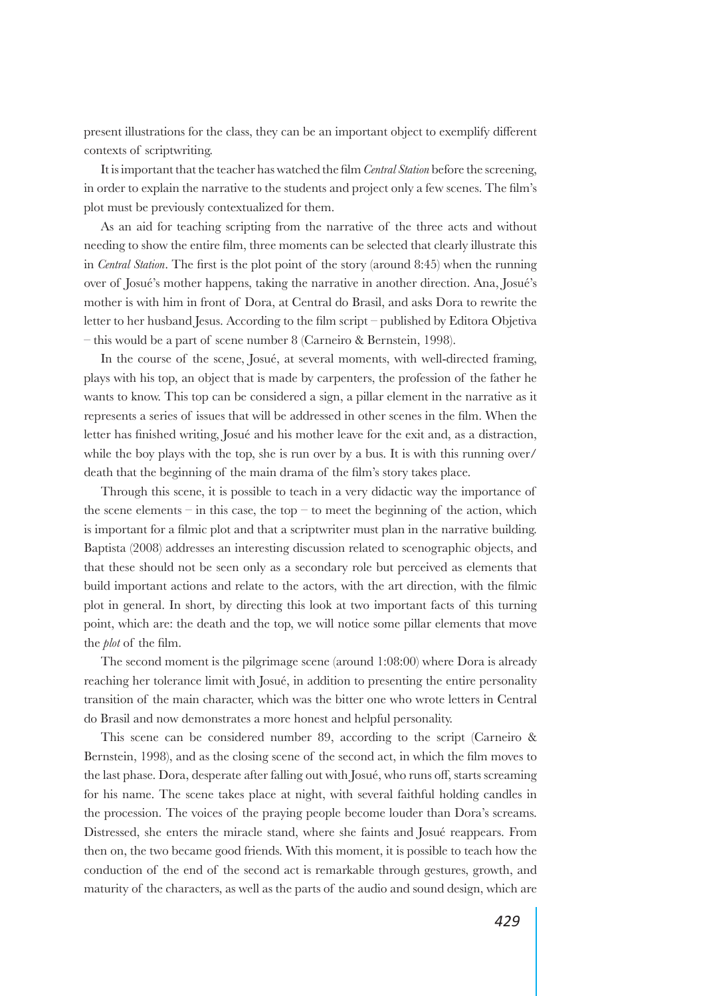present illustrations for the class, they can be an important object to exemplify different contexts of scriptwriting.

It is important that the teacher has watched the film *Central Station* before the screening, in order to explain the narrative to the students and project only a few scenes. The film's plot must be previously contextualized for them.

As an aid for teaching scripting from the narrative of the three acts and without needing to show the entire film, three moments can be selected that clearly illustrate this in *Central Station*. The first is the plot point of the story (around 8:45) when the running over of Josué's mother happens, taking the narrative in another direction. Ana, Josué's mother is with him in front of Dora, at Central do Brasil, and asks Dora to rewrite the letter to her husband Jesus. According to the film script – published by Editora Objetiva – this would be a part of scene number 8 (Carneiro & Bernstein, 1998).

In the course of the scene, Josué, at several moments, with well-directed framing, plays with his top, an object that is made by carpenters, the profession of the father he wants to know. This top can be considered a sign, a pillar element in the narrative as it represents a series of issues that will be addressed in other scenes in the film. When the letter has finished writing, Josué and his mother leave for the exit and, as a distraction, while the boy plays with the top, she is run over by a bus. It is with this running over/ death that the beginning of the main drama of the film's story takes place.

Through this scene, it is possible to teach in a very didactic way the importance of the scene elements – in this case, the top – to meet the beginning of the action, which is important for a filmic plot and that a scriptwriter must plan in the narrative building. Baptista (2008) addresses an interesting discussion related to scenographic objects, and that these should not be seen only as a secondary role but perceived as elements that build important actions and relate to the actors, with the art direction, with the filmic plot in general. In short, by directing this look at two important facts of this turning point, which are: the death and the top, we will notice some pillar elements that move the *plot* of the film.

The second moment is the pilgrimage scene (around 1:08:00) where Dora is already reaching her tolerance limit with Josué, in addition to presenting the entire personality transition of the main character, which was the bitter one who wrote letters in Central do Brasil and now demonstrates a more honest and helpful personality.

This scene can be considered number 89, according to the script (Carneiro & Bernstein, 1998), and as the closing scene of the second act, in which the film moves to the last phase. Dora, desperate after falling out with Josué, who runs off, starts screaming for his name. The scene takes place at night, with several faithful holding candles in the procession. The voices of the praying people become louder than Dora's screams. Distressed, she enters the miracle stand, where she faints and Josué reappears. From then on, the two became good friends. With this moment, it is possible to teach how the conduction of the end of the second act is remarkable through gestures, growth, and maturity of the characters, as well as the parts of the audio and sound design, which are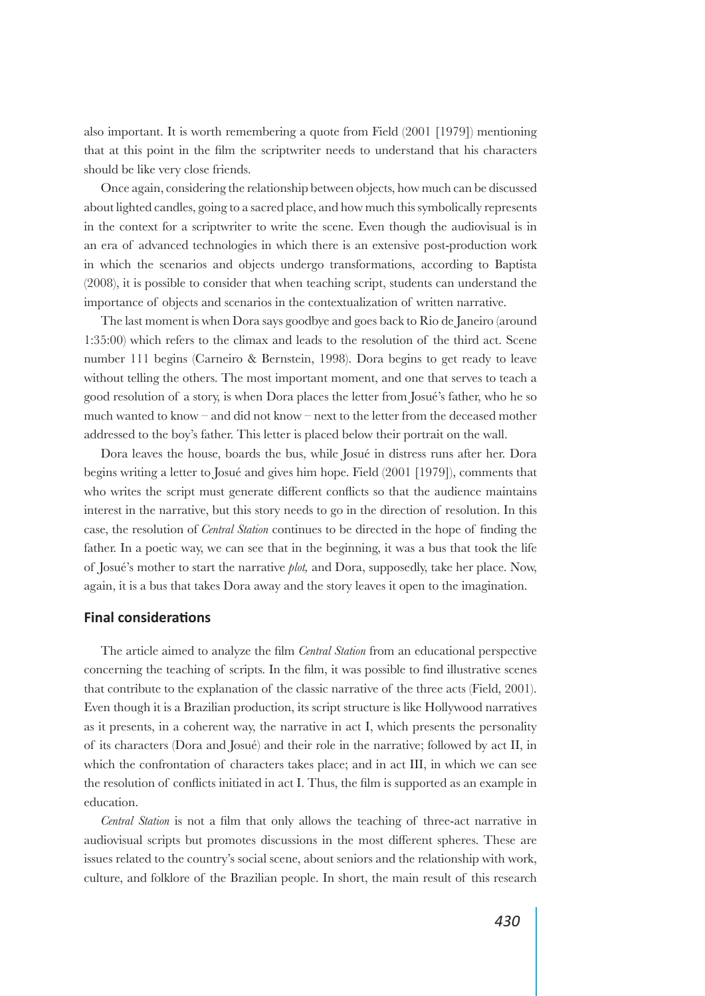also important. It is worth remembering a quote from Field (2001 [1979]) mentioning that at this point in the film the scriptwriter needs to understand that his characters should be like very close friends.

Once again, considering the relationship between objects, how much can be discussed about lighted candles, going to a sacred place, and how much this symbolically represents in the context for a scriptwriter to write the scene. Even though the audiovisual is in an era of advanced technologies in which there is an extensive post-production work in which the scenarios and objects undergo transformations, according to Baptista (2008), it is possible to consider that when teaching script, students can understand the importance of objects and scenarios in the contextualization of written narrative.

The last moment is when Dora says goodbye and goes back to Rio de Janeiro (around 1:35:00) which refers to the climax and leads to the resolution of the third act. Scene number 111 begins (Carneiro & Bernstein, 1998). Dora begins to get ready to leave without telling the others. The most important moment, and one that serves to teach a good resolution of a story, is when Dora places the letter from Josué's father, who he so much wanted to know – and did not know – next to the letter from the deceased mother addressed to the boy's father. This letter is placed below their portrait on the wall.

Dora leaves the house, boards the bus, while Josué in distress runs after her. Dora begins writing a letter to Josué and gives him hope. Field (2001 [1979]), comments that who writes the script must generate different conflicts so that the audience maintains interest in the narrative, but this story needs to go in the direction of resolution. In this case, the resolution of *Central Station* continues to be directed in the hope of finding the father. In a poetic way, we can see that in the beginning, it was a bus that took the life of Josué's mother to start the narrative *plot,* and Dora, supposedly, take her place. Now, again, it is a bus that takes Dora away and the story leaves it open to the imagination.

### **Final considerations**

The article aimed to analyze the film *Central Station* from an educational perspective concerning the teaching of scripts. In the film, it was possible to find illustrative scenes that contribute to the explanation of the classic narrative of the three acts (Field, 2001). Even though it is a Brazilian production, its script structure is like Hollywood narratives as it presents, in a coherent way, the narrative in act I, which presents the personality of its characters (Dora and Josué) and their role in the narrative; followed by act II, in which the confrontation of characters takes place; and in act III, in which we can see the resolution of conflicts initiated in act I. Thus, the film is supported as an example in education.

*Central Station* is not a film that only allows the teaching of three-act narrative in audiovisual scripts but promotes discussions in the most different spheres. These are issues related to the country's social scene, about seniors and the relationship with work, culture, and folklore of the Brazilian people. In short, the main result of this research